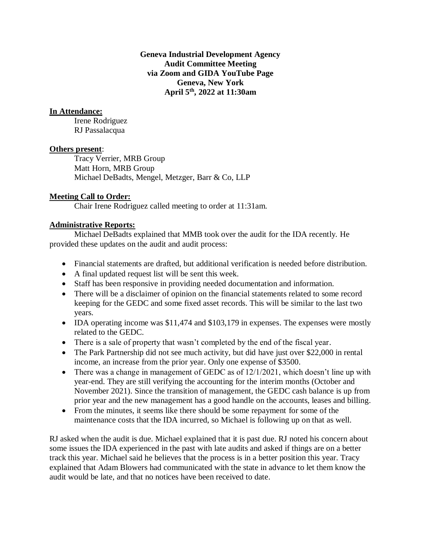**Geneva Industrial Development Agency Audit Committee Meeting via Zoom and GIDA YouTube Page Geneva, New York April 5th , 2022 at 11:30am**

# **In Attendance:**

Irene Rodriguez RJ Passalacqua

#### **Others present**:

Tracy Verrier, MRB Group Matt Horn, MRB Group Michael DeBadts, Mengel, Metzger, Barr & Co, LLP

### **Meeting Call to Order:**

Chair Irene Rodriguez called meeting to order at 11:31am.

# **Administrative Reports:**

Michael DeBadts explained that MMB took over the audit for the IDA recently. He provided these updates on the audit and audit process:

- Financial statements are drafted, but additional verification is needed before distribution.
- A final updated request list will be sent this week.
- Staff has been responsive in providing needed documentation and information.
- There will be a disclaimer of opinion on the financial statements related to some record keeping for the GEDC and some fixed asset records. This will be similar to the last two years.
- IDA operating income was \$11,474 and \$103,179 in expenses. The expenses were mostly related to the GEDC.
- There is a sale of property that wasn't completed by the end of the fiscal year.
- The Park Partnership did not see much activity, but did have just over \$22,000 in rental income, an increase from the prior year. Only one expense of \$3500.
- There was a change in management of GEDC as of 12/1/2021, which doesn't line up with year-end. They are still verifying the accounting for the interim months (October and November 2021). Since the transition of management, the GEDC cash balance is up from prior year and the new management has a good handle on the accounts, leases and billing.
- From the minutes, it seems like there should be some repayment for some of the maintenance costs that the IDA incurred, so Michael is following up on that as well.

RJ asked when the audit is due. Michael explained that it is past due. RJ noted his concern about some issues the IDA experienced in the past with late audits and asked if things are on a better track this year. Michael said he believes that the process is in a better position this year. Tracy explained that Adam Blowers had communicated with the state in advance to let them know the audit would be late, and that no notices have been received to date.